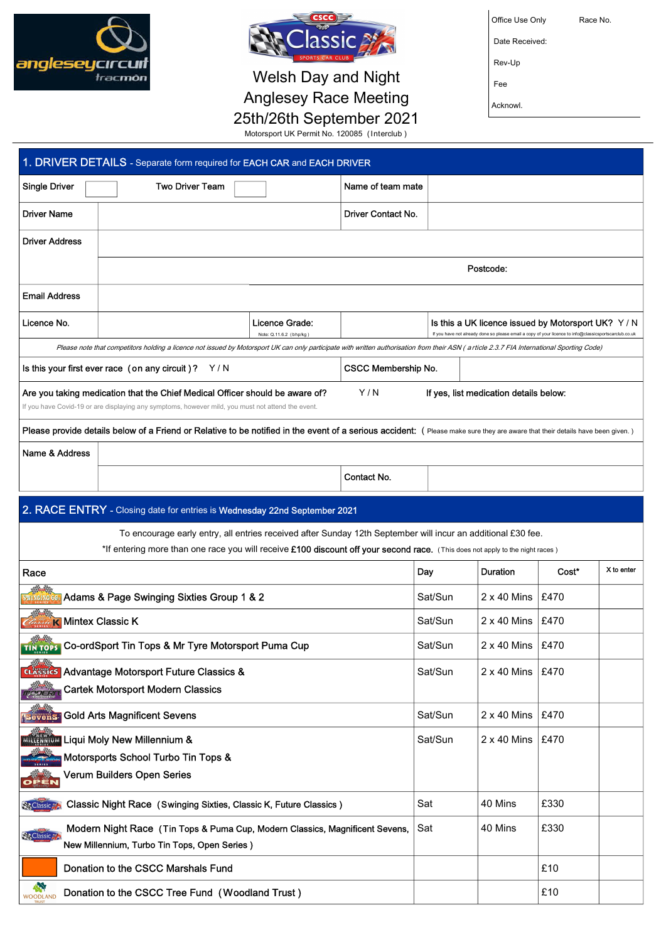



## Welsh Day and Night Anglesey Race Meeting

| Office Use Only | Race No. |
|-----------------|----------|
| Date Received:  |          |
| Rev-Up          |          |
| Fee             |          |
| Acknowl.        |          |

25th/26th September 2021 Motorsport UK Permit No. 120085 ( Interclub )

|                                                                          | 1. DRIVER DETAILS - Separate form required for EACH CAR and EACH DRIVER                                                                                                                   |                                           |                            |                                                                                                                                                             |                                        |       |            |  |
|--------------------------------------------------------------------------|-------------------------------------------------------------------------------------------------------------------------------------------------------------------------------------------|-------------------------------------------|----------------------------|-------------------------------------------------------------------------------------------------------------------------------------------------------------|----------------------------------------|-------|------------|--|
| <b>Single Driver</b>                                                     | <b>Two Driver Team</b>                                                                                                                                                                    |                                           | Name of team mate          |                                                                                                                                                             |                                        |       |            |  |
| <b>Driver Name</b>                                                       |                                                                                                                                                                                           |                                           | Driver Contact No.         |                                                                                                                                                             |                                        |       |            |  |
| <b>Driver Address</b>                                                    |                                                                                                                                                                                           |                                           |                            |                                                                                                                                                             |                                        |       |            |  |
|                                                                          | Postcode:                                                                                                                                                                                 |                                           |                            |                                                                                                                                                             |                                        |       |            |  |
| <b>Email Address</b>                                                     |                                                                                                                                                                                           |                                           |                            |                                                                                                                                                             |                                        |       |            |  |
| Licence No.                                                              |                                                                                                                                                                                           | Licence Grade:<br>Note: Q.11.6.2 (bhp/kg) |                            | Is this a UK licence issued by Motorsport UK? Y/N<br>If you have not already done so please email a copy of your licence to info@classicsportscarclub.co.uk |                                        |       |            |  |
|                                                                          | Please note that competitors holding a licence not issued by Motorsport UK can only participate with written authorisation from their ASN (article 2.3.7 FIA International Sporting Code) |                                           |                            |                                                                                                                                                             |                                        |       |            |  |
|                                                                          | Is this your first ever race (on any circuit)? $Y/N$                                                                                                                                      |                                           | <b>CSCC Membership No.</b> |                                                                                                                                                             |                                        |       |            |  |
|                                                                          | Are you taking medication that the Chief Medical Officer should be aware of?<br>If you have Covid-19 or are displaying any symptoms, however mild, you must not attend the event.         |                                           | Y/N                        |                                                                                                                                                             | If yes, list medication details below: |       |            |  |
|                                                                          | Please provide details below of a Friend or Relative to be notified in the event of a serious accident: (Please make sure they are aware that their details have been given.)             |                                           |                            |                                                                                                                                                             |                                        |       |            |  |
| <b>Name &amp; Address</b>                                                |                                                                                                                                                                                           |                                           |                            |                                                                                                                                                             |                                        |       |            |  |
|                                                                          |                                                                                                                                                                                           |                                           | Contact No.                |                                                                                                                                                             |                                        |       |            |  |
|                                                                          | 2. RACE ENTRY - Closing date for entries is Wednesday 22nd September 2021                                                                                                                 |                                           |                            |                                                                                                                                                             |                                        |       |            |  |
|                                                                          | To encourage early entry, all entries received after Sunday 12th September will incur an additional £30 fee.                                                                              |                                           |                            |                                                                                                                                                             |                                        |       |            |  |
|                                                                          | *If entering more than one race you will receive £100 discount off your second race. (This does not apply to the night races)                                                             |                                           |                            |                                                                                                                                                             | <b>Duration</b>                        | Cost* | X to enter |  |
| Race                                                                     | Adams & Page Swinging Sixties Group 1 & 2                                                                                                                                                 |                                           |                            | Day<br>Sat/Sun                                                                                                                                              | $2 \times 40$ Mins                     | £470  |            |  |
| SWINGING 66<br>K Mintex Classic K                                        |                                                                                                                                                                                           |                                           |                            | Sat/Sun                                                                                                                                                     | $2 \times 40$ Mins                     | £470  |            |  |
|                                                                          | <b>TIN TOPS</b> Co-ordSport Tin Tops & Mr Tyre Motorsport Puma Cup                                                                                                                        |                                           |                            | Sat/Sun                                                                                                                                                     | 2 x 40 Mins   £470                     |       |            |  |
| 11000                                                                    | <b>GLASSICS</b> Advantage Motorsport Future Classics &                                                                                                                                    |                                           |                            | Sat/Sun                                                                                                                                                     | $2 \times 40$ Mins                     | £470  |            |  |
| <b>Taper</b>                                                             | <b>Cartek Motorsport Modern Classics</b>                                                                                                                                                  |                                           |                            |                                                                                                                                                             |                                        |       |            |  |
|                                                                          | <b>Savans:</b> Gold Arts Magnificent Sevens                                                                                                                                               |                                           |                            | Sat/Sun                                                                                                                                                     | $2 \times 40$ Mins                     | £470  |            |  |
|                                                                          | <b>Mitters of August 1999</b> Liqui Moly New Millennium &                                                                                                                                 |                                           | Sat/Sun                    | $2 \times 40$ Mins                                                                                                                                          | £470                                   |       |            |  |
| Motorsports School Turbo Tin Tops &<br><b>Verum Builders Open Series</b> |                                                                                                                                                                                           |                                           |                            |                                                                                                                                                             |                                        |       |            |  |
| OPEN                                                                     |                                                                                                                                                                                           |                                           |                            |                                                                                                                                                             |                                        |       |            |  |
| <b>Sc Classic</b>                                                        | Classic Night Race (Swinging Sixties, Classic K, Future Classics)                                                                                                                         |                                           |                            | Sat                                                                                                                                                         | 40 Mins                                | £330  |            |  |
| <b>Ste Classic 26</b>                                                    | Modern Night Race (Tin Tops & Puma Cup, Modern Classics, Magnificent Sevens,<br>New Millennium, Turbo Tin Tops, Open Series)                                                              |                                           |                            | Sat                                                                                                                                                         | 40 Mins                                | £330  |            |  |
|                                                                          | Donation to the CSCC Marshals Fund                                                                                                                                                        |                                           |                            |                                                                                                                                                             |                                        | £10   |            |  |
| S.<br><b>WOODLAND</b>                                                    | Donation to the CSCC Tree Fund (Woodland Trust)                                                                                                                                           |                                           |                            |                                                                                                                                                             |                                        | £10   |            |  |